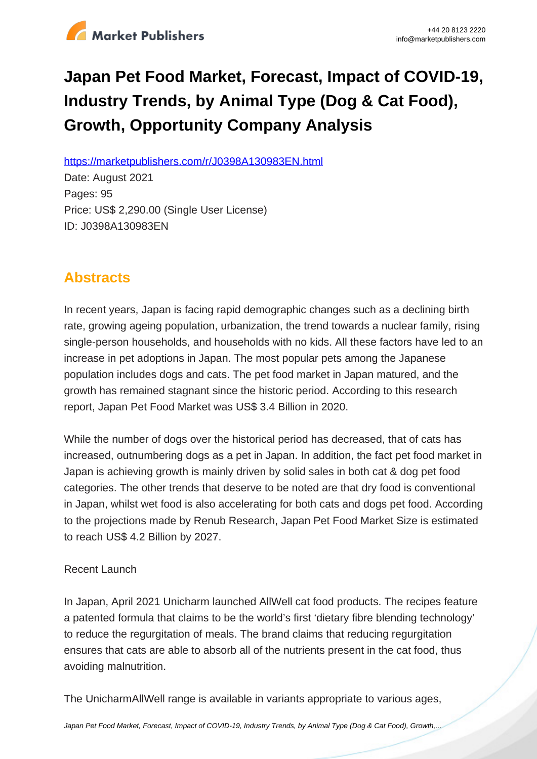

# **Japan Pet Food Market, Forecast, Impact of COVID-19, Industry Trends, by Animal Type (Dog & Cat Food), Growth, Opportunity Company Analysis**

https://marketpublishers.com/r/J0398A130983EN.html

Date: August 2021 Pages: 95 Price: US\$ 2,290.00 (Single User License) ID: J0398A130983EN

# **Abstracts**

In recent years, Japan is facing rapid demographic changes such as a declining birth rate, growing ageing population, urbanization, the trend towards a nuclear family, rising single-person households, and households with no kids. All these factors have led to an increase in pet adoptions in Japan. The most popular pets among the Japanese population includes dogs and cats. The pet food market in Japan matured, and the growth has remained stagnant since the historic period. According to this research report, Japan Pet Food Market was US\$ 3.4 Billion in 2020.

While the number of dogs over the historical period has decreased, that of cats has increased, outnumbering dogs as a pet in Japan. In addition, the fact pet food market in Japan is achieving growth is mainly driven by solid sales in both cat & dog pet food categories. The other trends that deserve to be noted are that dry food is conventional in Japan, whilst wet food is also accelerating for both cats and dogs pet food. According to the projections made by Renub Research, Japan Pet Food Market Size is estimated to reach US\$ 4.2 Billion by 2027.

# Recent Launch

In Japan, April 2021 Unicharm launched AllWell cat food products. The recipes feature a patented formula that claims to be the world's first 'dietary fibre blending technology' to reduce the regurgitation of meals. The brand claims that reducing regurgitation ensures that cats are able to absorb all of the nutrients present in the cat food, thus avoiding malnutrition.

The UnicharmAllWell range is available in variants appropriate to various ages,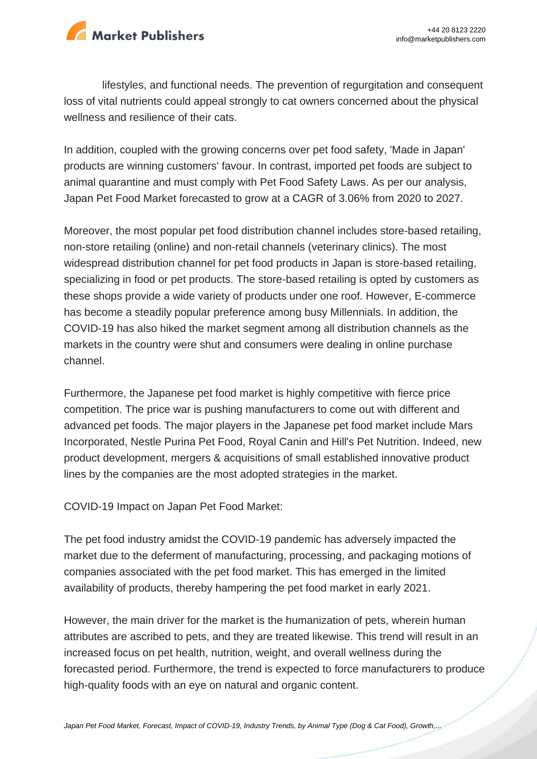

lifestyles, and functional needs. The prevention of regurgitation and consequent loss of vital nutrients could appeal strongly to cat owners concerned about the physical wellness and resilience of their cats.

In addition, coupled with the growing concerns over pet food safety, 'Made in Japan' products are winning customers' favour. In contrast, imported pet foods are subject to animal quarantine and must comply with Pet Food Safety Laws. As per our analysis, Japan Pet Food Market forecasted to grow at a CAGR of 3.06% from 2020 to 2027.

Moreover, the most popular pet food distribution channel includes store-based retailing, non-store retailing (online) and non-retail channels (veterinary clinics). The most widespread distribution channel for pet food products in Japan is store-based retailing, specializing in food or pet products. The store-based retailing is opted by customers as these shops provide a wide variety of products under one roof. However, E-commerce has become a steadily popular preference among busy Millennials. In addition, the COVID-19 has also hiked the market segment among all distribution channels as the markets in the country were shut and consumers were dealing in online purchase channel.

Furthermore, the Japanese pet food market is highly competitive with fierce price competition. The price war is pushing manufacturers to come out with different and advanced pet foods. The major players in the Japanese pet food market include Mars Incorporated, Nestle Purina Pet Food, Royal Canin and Hill's Pet Nutrition. Indeed, new product development, mergers & acquisitions of small established innovative product lines by the companies are the most adopted strategies in the market.

COVID-19 Impact on Japan Pet Food Market:

The pet food industry amidst the COVID-19 pandemic has adversely impacted the market due to the deferment of manufacturing, processing, and packaging motions of companies associated with the pet food market. This has emerged in the limited availability of products, thereby hampering the pet food market in early 2021.

However, the main driver for the market is the humanization of pets, wherein human attributes are ascribed to pets, and they are treated likewise. This trend will result in an increased focus on pet health, nutrition, weight, and overall wellness during the forecasted period. Furthermore, the trend is expected to force manufacturers to produce high-quality foods with an eye on natural and organic content.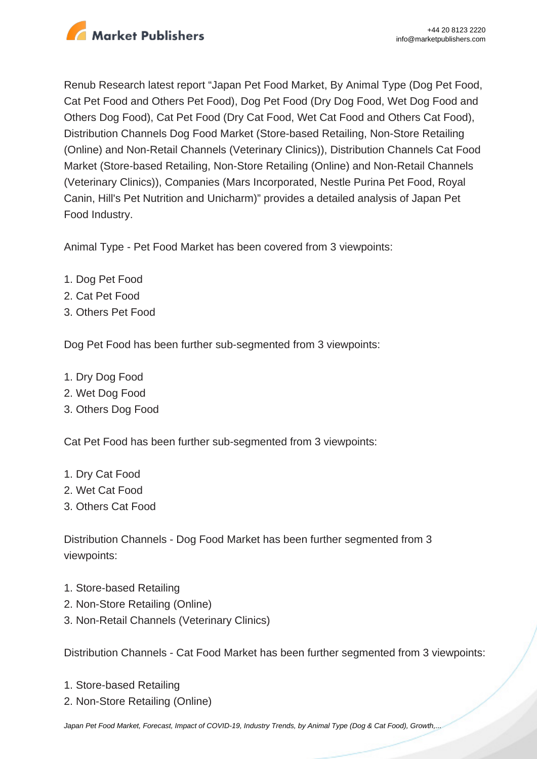

Renub Research latest report "Japan Pet Food Market, By Animal Type (Dog Pet Food, Cat Pet Food and Others Pet Food), Dog Pet Food (Dry Dog Food, Wet Dog Food and Others Dog Food), Cat Pet Food (Dry Cat Food, Wet Cat Food and Others Cat Food), Distribution Channels Dog Food Market (Store-based Retailing, Non-Store Retailing (Online) and Non-Retail Channels (Veterinary Clinics)), Distribution Channels Cat Food Market (Store-based Retailing, Non-Store Retailing (Online) and Non-Retail Channels (Veterinary Clinics)), Companies (Mars Incorporated, Nestle Purina Pet Food, Royal Canin, Hill's Pet Nutrition and Unicharm)" provides a detailed analysis of Japan Pet Food Industry.

Animal Type - Pet Food Market has been covered from 3 viewpoints:

- 1. Dog Pet Food
- 2. Cat Pet Food
- 3. Others Pet Food

Dog Pet Food has been further sub-segmented from 3 viewpoints:

- 1. Dry Dog Food
- 2. Wet Dog Food
- 3. Others Dog Food

Cat Pet Food has been further sub-segmented from 3 viewpoints:

- 1. Dry Cat Food
- 2. Wet Cat Food
- 3. Others Cat Food

Distribution Channels - Dog Food Market has been further segmented from 3 viewpoints:

- 1. Store-based Retailing
- 2. Non-Store Retailing (Online)
- 3. Non-Retail Channels (Veterinary Clinics)

Distribution Channels - Cat Food Market has been further segmented from 3 viewpoints:

- 1. Store-based Retailing
- 2. Non-Store Retailing (Online)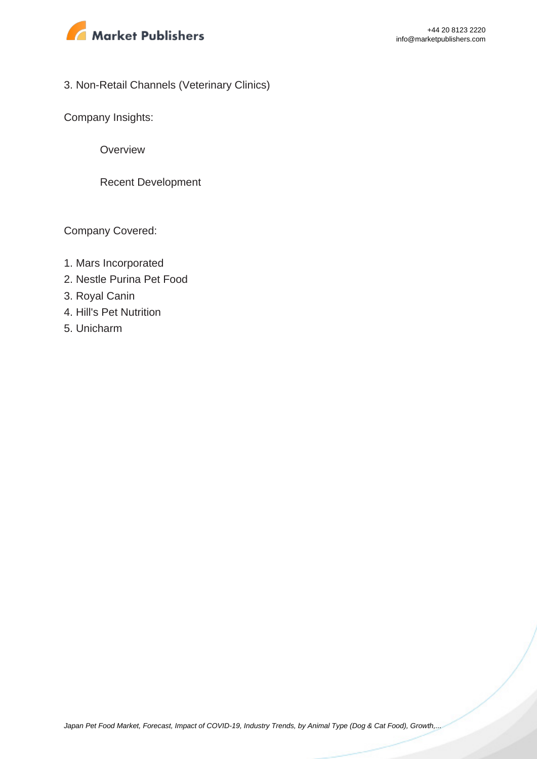

# 3. Non-Retail Channels (Veterinary Clinics)

Company Insights:

**Overview** 

Recent Development

Company Covered:

- 1. Mars Incorporated
- 2. Nestle Purina Pet Food
- 3. Royal Canin
- 4. Hill's Pet Nutrition
- 5. Unicharm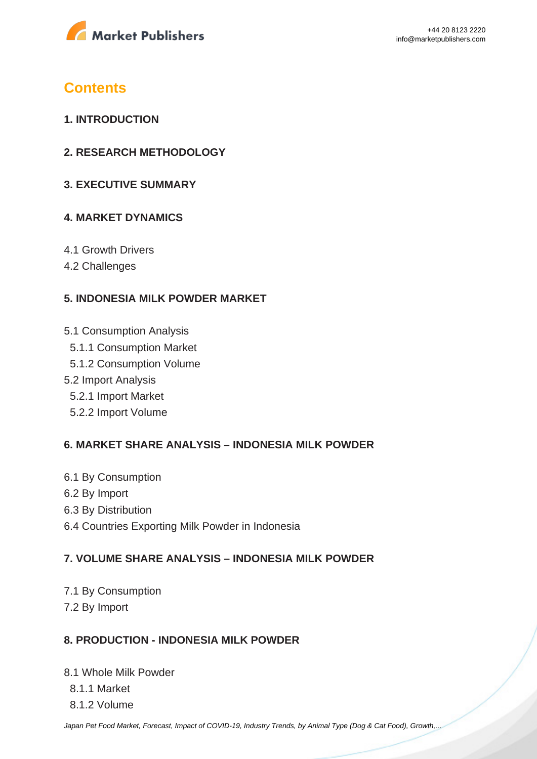

# **Contents**

- **1. INTRODUCTION**
- **2. RESEARCH METHODOLOGY**
- **3. EXECUTIVE SUMMARY**

# **4. MARKET DYNAMICS**

- 4.1 Growth Drivers
- 4.2 Challenges

# **5. INDONESIA MILK POWDER MARKET**

- 5.1 Consumption Analysis
	- 5.1.1 Consumption Market
	- 5.1.2 Consumption Volume
- 5.2 Import Analysis
	- 5.2.1 Import Market
	- 5.2.2 Import Volume

# **6. MARKET SHARE ANALYSIS – INDONESIA MILK POWDER**

- 6.1 By Consumption
- 6.2 By Import
- 6.3 By Distribution
- 6.4 Countries Exporting Milk Powder in Indonesia

# **7. VOLUME SHARE ANALYSIS – INDONESIA MILK POWDER**

7.1 By Consumption 7.2 By Import

# **8. PRODUCTION - INDONESIA MILK POWDER**

8.1 Whole Milk Powder 8.1.1 Market 8.1.2 Volume

[Japan Pet Food Market, Forecast, Impact of COVID-19, Industry Trends, by Animal Type \(Dog & Cat Food\), Growth,...](https://marketpublishers.com/report/consumers_goods/pet_products/japan-pet-food-market-forecast-impact-of-covid-19-industry-trends-by-animal-type-dog-cat-food-growth-opportunity-company-analysis.html)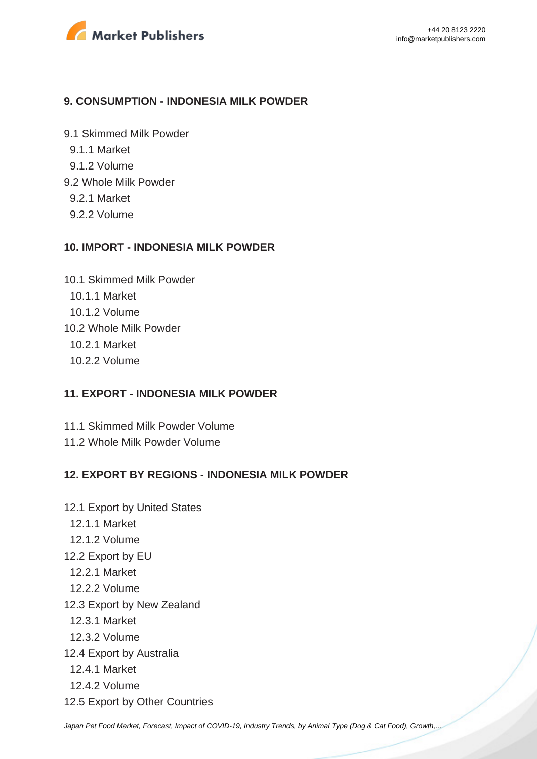

#### **9. CONSUMPTION - INDONESIA MILK POWDER**

9.1 Skimmed Milk Powder

- 9.1.1 Market
- 9.1.2 Volume
- 9.2 Whole Milk Powder
	- 9.2.1 Market
	- 9.2.2 Volume

#### **10. IMPORT - INDONESIA MILK POWDER**

10.1 Skimmed Milk Powder 10.1.1 Market 10.1.2 Volume 10.2 Whole Milk Powder 10.2.1 Market 10.2.2 Volume

#### **11. EXPORT - INDONESIA MILK POWDER**

11.1 Skimmed Milk Powder Volume 11.2 Whole Milk Powder Volume

# **12. EXPORT BY REGIONS - INDONESIA MILK POWDER**

12.1 Export by United States 12.1.1 Market 12.1.2 Volume 12.2 Export by EU 12.2.1 Market 12.2.2 Volume 12.3 Export by New Zealand 12.3.1 Market 12.3.2 Volume 12.4 Export by Australia 12.4.1 Market 12.4.2 Volume 12.5 Export by Other Countries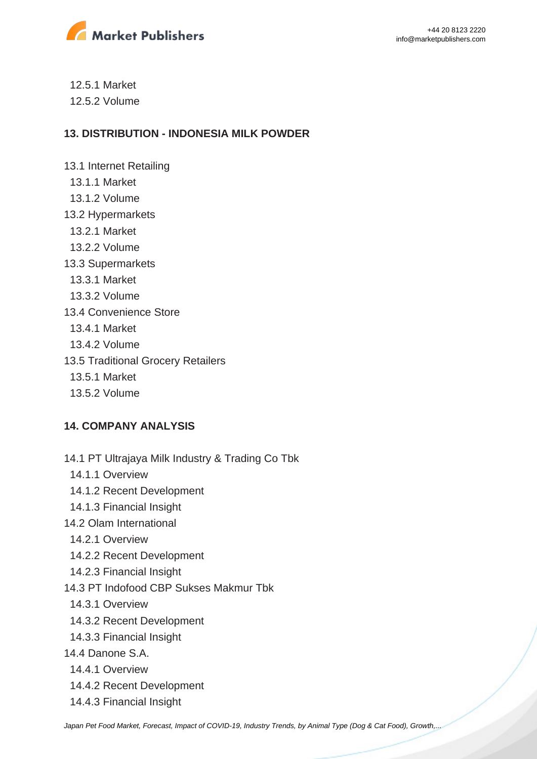

 12.5.1 Market 12.5.2 Volume

# **13. DISTRIBUTION - INDONESIA MILK POWDER**

13.1 Internet Retailing 13.1.1 Market 13.1.2 Volume 13.2 Hypermarkets 13.2.1 Market 13.2.2 Volume 13.3 Supermarkets 13.3.1 Market 13.3.2 Volume 13.4 Convenience Store 13.4.1 Market 13.4.2 Volume 13.5 Traditional Grocery Retailers 13.5.1 Market

13.5.2 Volume

# **14. COMPANY ANALYSIS**

- 14.1 PT Ultrajaya Milk Industry & Trading Co Tbk
	- 14.1.1 Overview
	- 14.1.2 Recent Development
- 14.1.3 Financial Insight
- 14.2 Olam International
	- 14.2.1 Overview
	- 14.2.2 Recent Development
- 14.2.3 Financial Insight
- 14.3 PT Indofood CBP Sukses Makmur Tbk
	- 14.3.1 Overview
- 14.3.2 Recent Development
- 14.3.3 Financial Insight
- 14.4 Danone S.A.
	- 14.4.1 Overview
	- 14.4.2 Recent Development
	- 14.4.3 Financial Insight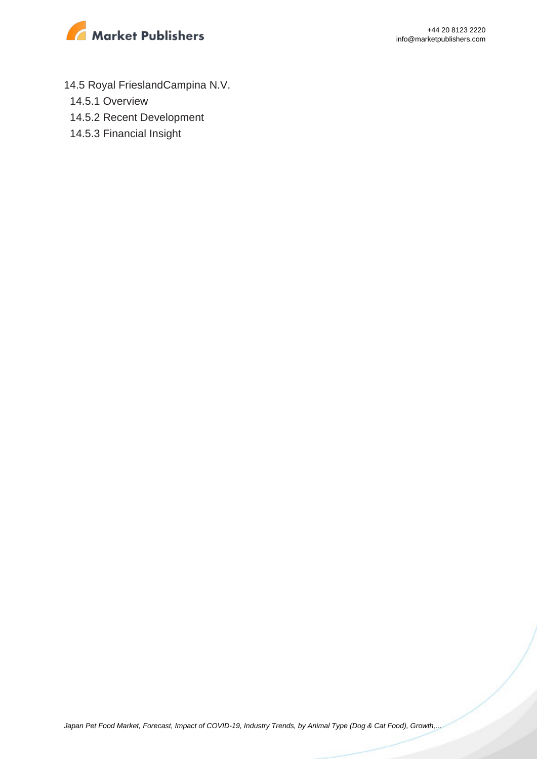

- 14.5 Royal FrieslandCampina N.V.
	- 14.5.1 Overview
	- 14.5.2 Recent Development
	- 14.5.3 Financial Insight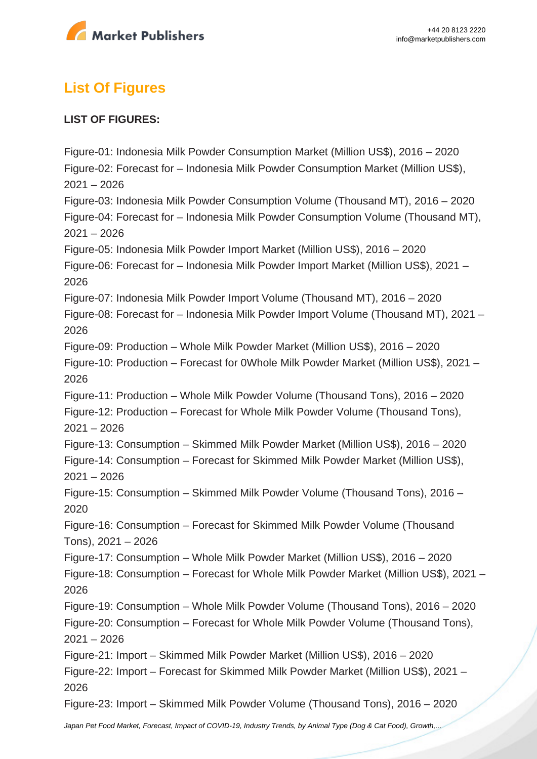

# **List Of Figures**

# **LIST OF FIGURES:**

Figure-01: Indonesia Milk Powder Consumption Market (Million US\$), 2016 – 2020 Figure-02: Forecast for – Indonesia Milk Powder Consumption Market (Million US\$),  $2021 - 2026$ Figure-03: Indonesia Milk Powder Consumption Volume (Thousand MT), 2016 – 2020 Figure-04: Forecast for – Indonesia Milk Powder Consumption Volume (Thousand MT),  $2021 - 2026$ Figure-05: Indonesia Milk Powder Import Market (Million US\$), 2016 – 2020 Figure-06: Forecast for – Indonesia Milk Powder Import Market (Million US\$), 2021 – 2026 Figure-07: Indonesia Milk Powder Import Volume (Thousand MT), 2016 – 2020 Figure-08: Forecast for – Indonesia Milk Powder Import Volume (Thousand MT), 2021 – 2026 Figure-09: Production – Whole Milk Powder Market (Million US\$), 2016 – 2020 Figure-10: Production – Forecast for 0Whole Milk Powder Market (Million US\$), 2021 – 2026 Figure-11: Production – Whole Milk Powder Volume (Thousand Tons), 2016 – 2020 Figure-12: Production – Forecast for Whole Milk Powder Volume (Thousand Tons), 2021 – 2026 Figure-13: Consumption – Skimmed Milk Powder Market (Million US\$), 2016 – 2020 Figure-14: Consumption – Forecast for Skimmed Milk Powder Market (Million US\$),  $2021 - 2026$ Figure-15: Consumption – Skimmed Milk Powder Volume (Thousand Tons), 2016 – 2020 Figure-16: Consumption – Forecast for Skimmed Milk Powder Volume (Thousand Tons), 2021 – 2026 Figure-17: Consumption – Whole Milk Powder Market (Million US\$), 2016 – 2020 Figure-18: Consumption – Forecast for Whole Milk Powder Market (Million US\$), 2021 – 2026 Figure-19: Consumption – Whole Milk Powder Volume (Thousand Tons), 2016 – 2020 Figure-20: Consumption – Forecast for Whole Milk Powder Volume (Thousand Tons),  $2021 - 2026$ Figure-21: Import – Skimmed Milk Powder Market (Million US\$), 2016 – 2020 Figure-22: Import – Forecast for Skimmed Milk Powder Market (Million US\$), 2021 – 2026 Figure-23: Import – Skimmed Milk Powder Volume (Thousand Tons), 2016 – 2020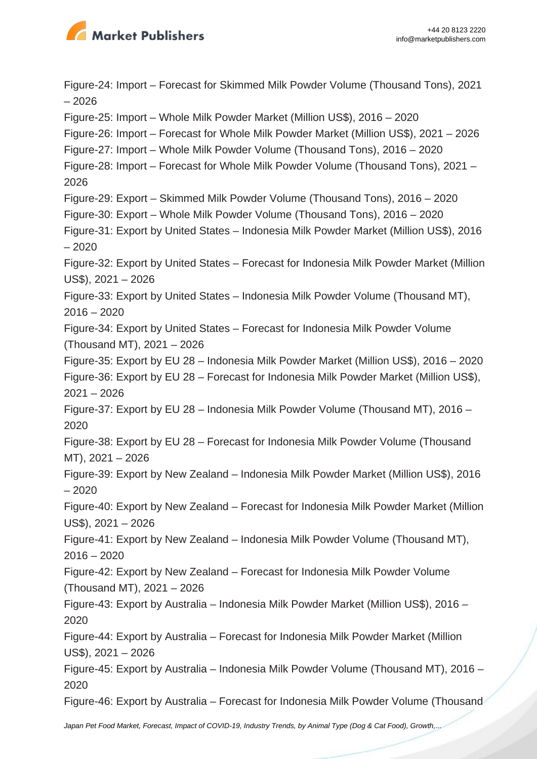

Figure-24: Import – Forecast for Skimmed Milk Powder Volume (Thousand Tons), 2021 – 2026 Figure-25: Import – Whole Milk Powder Market (Million US\$), 2016 – 2020 Figure-26: Import – Forecast for Whole Milk Powder Market (Million US\$), 2021 – 2026 Figure-27: Import – Whole Milk Powder Volume (Thousand Tons), 2016 – 2020 Figure-28: Import – Forecast for Whole Milk Powder Volume (Thousand Tons), 2021 – 2026 Figure-29: Export – Skimmed Milk Powder Volume (Thousand Tons), 2016 – 2020 Figure-30: Export – Whole Milk Powder Volume (Thousand Tons), 2016 – 2020 Figure-31: Export by United States – Indonesia Milk Powder Market (Million US\$), 2016 – 2020 Figure-32: Export by United States – Forecast for Indonesia Milk Powder Market (Million US\$), 2021 – 2026 Figure-33: Export by United States – Indonesia Milk Powder Volume (Thousand MT),  $2016 - 2020$ Figure-34: Export by United States – Forecast for Indonesia Milk Powder Volume (Thousand MT), 2021 – 2026 Figure-35: Export by EU 28 – Indonesia Milk Powder Market (Million US\$), 2016 – 2020 Figure-36: Export by EU 28 – Forecast for Indonesia Milk Powder Market (Million US\$), 2021 – 2026 Figure-37: Export by EU 28 – Indonesia Milk Powder Volume (Thousand MT), 2016 – 2020 Figure-38: Export by EU 28 – Forecast for Indonesia Milk Powder Volume (Thousand MT), 2021 – 2026 Figure-39: Export by New Zealand – Indonesia Milk Powder Market (Million US\$), 2016 – 2020 Figure-40: Export by New Zealand – Forecast for Indonesia Milk Powder Market (Million US\$), 2021 – 2026 Figure-41: Export by New Zealand – Indonesia Milk Powder Volume (Thousand MT),  $2016 - 2020$ Figure-42: Export by New Zealand – Forecast for Indonesia Milk Powder Volume (Thousand MT), 2021 – 2026 Figure-43: Export by Australia – Indonesia Milk Powder Market (Million US\$), 2016 – 2020 Figure-44: Export by Australia – Forecast for Indonesia Milk Powder Market (Million US\$), 2021 – 2026 Figure-45: Export by Australia – Indonesia Milk Powder Volume (Thousand MT), 2016 – 2020 Figure-46: Export by Australia – Forecast for Indonesia Milk Powder Volume (Thousand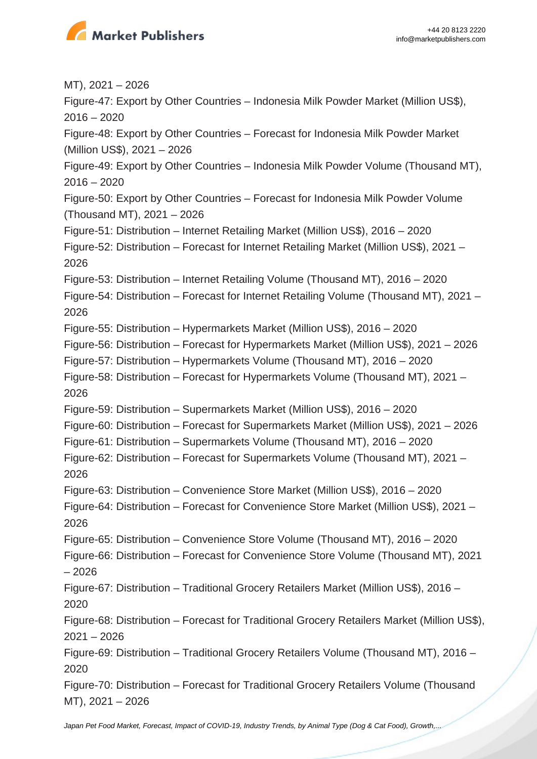

MT), 2021 – 2026 Figure-47: Export by Other Countries – Indonesia Milk Powder Market (Million US\$),  $2016 - 2020$ Figure-48: Export by Other Countries – Forecast for Indonesia Milk Powder Market (Million US\$), 2021 – 2026 Figure-49: Export by Other Countries – Indonesia Milk Powder Volume (Thousand MT),  $2016 - 2020$ Figure-50: Export by Other Countries – Forecast for Indonesia Milk Powder Volume (Thousand MT), 2021 – 2026 Figure-51: Distribution – Internet Retailing Market (Million US\$), 2016 – 2020 Figure-52: Distribution – Forecast for Internet Retailing Market (Million US\$), 2021 – 2026 Figure-53: Distribution – Internet Retailing Volume (Thousand MT), 2016 – 2020 Figure-54: Distribution – Forecast for Internet Retailing Volume (Thousand MT), 2021 – 2026 Figure-55: Distribution – Hypermarkets Market (Million US\$), 2016 – 2020 Figure-56: Distribution – Forecast for Hypermarkets Market (Million US\$), 2021 – 2026 Figure-57: Distribution – Hypermarkets Volume (Thousand MT), 2016 – 2020 Figure-58: Distribution – Forecast for Hypermarkets Volume (Thousand MT), 2021 – 2026 Figure-59: Distribution – Supermarkets Market (Million US\$), 2016 – 2020 Figure-60: Distribution – Forecast for Supermarkets Market (Million US\$), 2021 – 2026 Figure-61: Distribution – Supermarkets Volume (Thousand MT), 2016 – 2020 Figure-62: Distribution – Forecast for Supermarkets Volume (Thousand MT), 2021 – 2026 Figure-63: Distribution – Convenience Store Market (Million US\$), 2016 – 2020 Figure-64: Distribution – Forecast for Convenience Store Market (Million US\$), 2021 – 2026 Figure-65: Distribution – Convenience Store Volume (Thousand MT), 2016 – 2020 Figure-66: Distribution – Forecast for Convenience Store Volume (Thousand MT), 2021 – 2026 Figure-67: Distribution – Traditional Grocery Retailers Market (Million US\$), 2016 – 2020 Figure-68: Distribution – Forecast for Traditional Grocery Retailers Market (Million US\$), 2021 – 2026 Figure-69: Distribution – Traditional Grocery Retailers Volume (Thousand MT), 2016 – 2020 Figure-70: Distribution – Forecast for Traditional Grocery Retailers Volume (Thousand MT), 2021 – 2026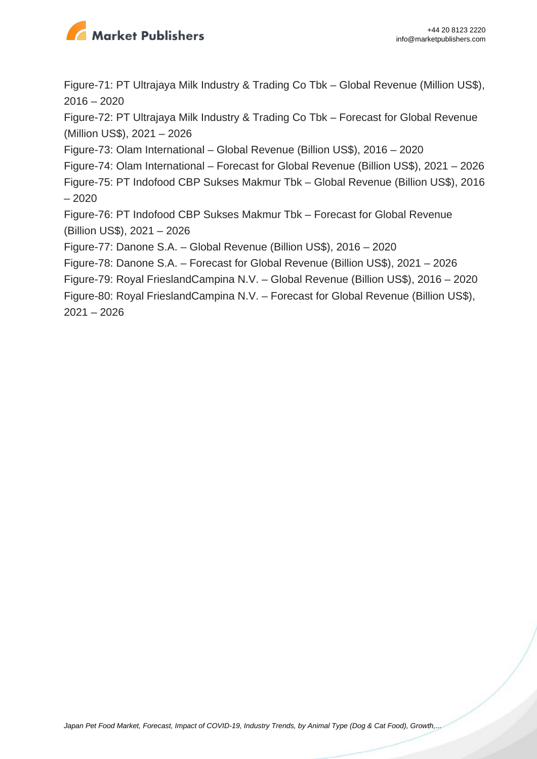

Figure-71: PT Ultrajaya Milk Industry & Trading Co Tbk – Global Revenue (Million US\$), 2016 – 2020

Figure-72: PT Ultrajaya Milk Industry & Trading Co Tbk – Forecast for Global Revenue (Million US\$), 2021 – 2026

Figure-73: Olam International – Global Revenue (Billion US\$), 2016 – 2020

Figure-74: Olam International – Forecast for Global Revenue (Billion US\$), 2021 – 2026 Figure-75: PT Indofood CBP Sukses Makmur Tbk – Global Revenue (Billion US\$), 2016 – 2020

Figure-76: PT Indofood CBP Sukses Makmur Tbk – Forecast for Global Revenue (Billion US\$), 2021 – 2026

Figure-77: Danone S.A. – Global Revenue (Billion US\$), 2016 – 2020

Figure-78: Danone S.A. – Forecast for Global Revenue (Billion US\$), 2021 – 2026

Figure-79: Royal FrieslandCampina N.V. – Global Revenue (Billion US\$), 2016 – 2020

Figure-80: Royal FrieslandCampina N.V. – Forecast for Global Revenue (Billion US\$), 2021 – 2026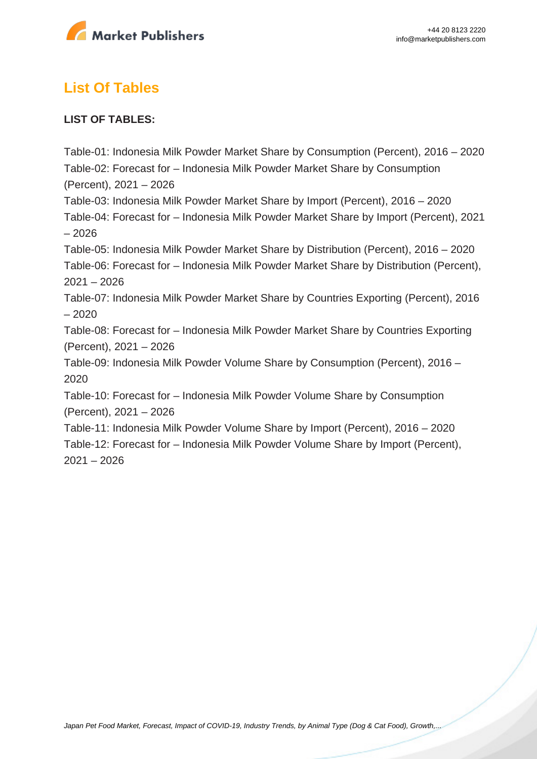

# **List Of Tables**

# **LIST OF TABLES:**

Table-01: Indonesia Milk Powder Market Share by Consumption (Percent), 2016 – 2020 Table-02: Forecast for – Indonesia Milk Powder Market Share by Consumption (Percent), 2021 – 2026 Table-03: Indonesia Milk Powder Market Share by Import (Percent), 2016 – 2020 Table-04: Forecast for – Indonesia Milk Powder Market Share by Import (Percent), 2021 – 2026 Table-05: Indonesia Milk Powder Market Share by Distribution (Percent), 2016 – 2020 Table-06: Forecast for – Indonesia Milk Powder Market Share by Distribution (Percent),  $2021 - 2026$ Table-07: Indonesia Milk Powder Market Share by Countries Exporting (Percent), 2016 – 2020 Table-08: Forecast for – Indonesia Milk Powder Market Share by Countries Exporting (Percent), 2021 – 2026 Table-09: Indonesia Milk Powder Volume Share by Consumption (Percent), 2016 – 2020 Table-10: Forecast for – Indonesia Milk Powder Volume Share by Consumption (Percent), 2021 – 2026 Table-11: Indonesia Milk Powder Volume Share by Import (Percent), 2016 – 2020

Table-12: Forecast for – Indonesia Milk Powder Volume Share by Import (Percent), 2021 – 2026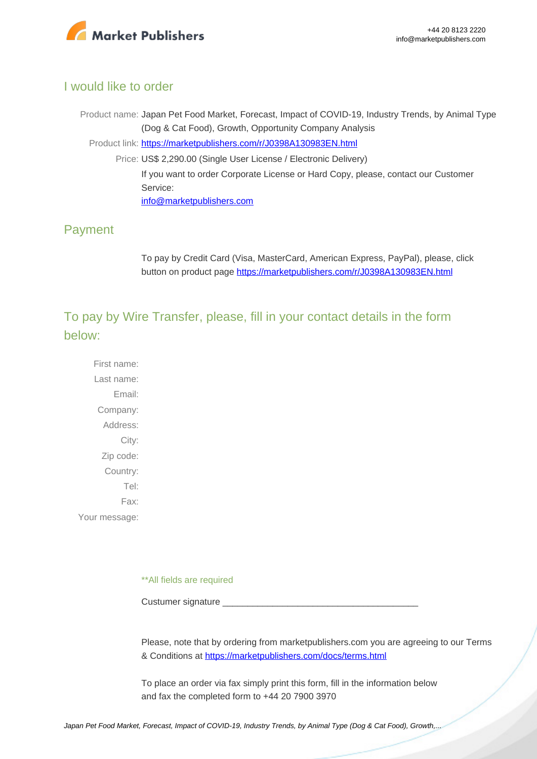

# I would like to order

Product name: Japan Pet Food Market, Forecast, Impact of COVID-19, Industry Trends, by Animal Type (Dog & Cat Food), Growth, Opportunity Company Analysis Product link: [https://marketpublishers.com/r/J0398A130983EN.html](https://marketpublishers.com/report/consumers_goods/pet_products/japan-pet-food-market-forecast-impact-of-covid-19-industry-trends-by-animal-type-dog-cat-food-growth-opportunity-company-analysis.html) Price: US\$ 2,290.00 (Single User License / Electronic Delivery) If you want to order Corporate License or Hard Copy, please, contact our Customer Service: [info@marketpublishers.com](mailto:info@marketpublishers.com)

# Payment

To pay by Credit Card (Visa, MasterCard, American Express, PayPal), please, click button on product page [https://marketpublishers.com/r/J0398A130983EN.html](https://marketpublishers.com/report/consumers_goods/pet_products/japan-pet-food-market-forecast-impact-of-covid-19-industry-trends-by-animal-type-dog-cat-food-growth-opportunity-company-analysis.html)

To pay by Wire Transfer, please, fill in your contact details in the form below:

First name: Last name: Email: Company: Address: City: Zip code: Country: Tel: Fax: Your message:

\*\*All fields are required

Custumer signature

Please, note that by ordering from marketpublishers.com you are agreeing to our Terms & Conditions at<https://marketpublishers.com/docs/terms.html>

To place an order via fax simply print this form, fill in the information below and fax the completed form to +44 20 7900 3970